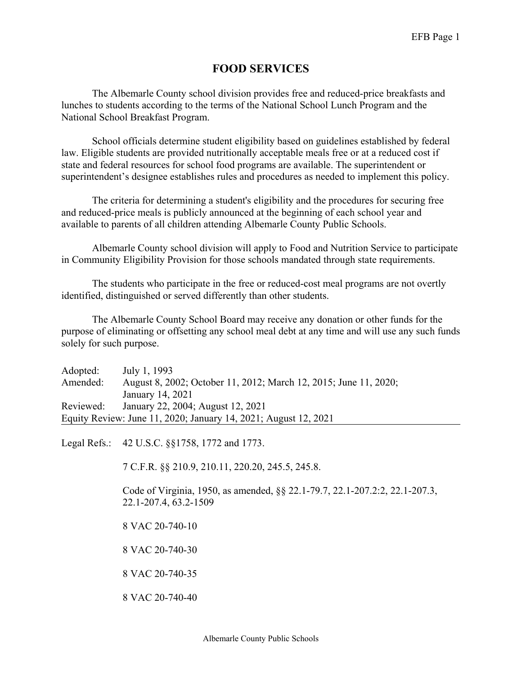## **FOOD SERVICES**

The Albemarle County school division provides free and reduced-price breakfasts and lunches to students according to the terms of the National School Lunch Program and the National School Breakfast Program.

School officials determine student eligibility based on guidelines established by federal law. Eligible students are provided nutritionally acceptable meals free or at a reduced cost if state and federal resources for school food programs are available. The superintendent or superintendent's designee establishes rules and procedures as needed to implement this policy.

The criteria for determining a student's eligibility and the procedures for securing free and reduced-price meals is publicly announced at the beginning of each school year and available to parents of all children attending Albemarle County Public Schools.

Albemarle County school division will apply to Food and Nutrition Service to participate in Community Eligibility Provision for those schools mandated through state requirements.

The students who participate in the free or reduced-cost meal programs are not overtly identified, distinguished or served differently than other students.

The Albemarle County School Board may receive any donation or other funds for the purpose of eliminating or offsetting any school meal debt at any time and will use any such funds solely for such purpose.

| Adopted:                                                        | July 1, 1993                                                     |
|-----------------------------------------------------------------|------------------------------------------------------------------|
| Amended:                                                        | August 8, 2002; October 11, 2012; March 12, 2015; June 11, 2020; |
|                                                                 | January 14, 2021                                                 |
| Reviewed:                                                       | January 22, 2004; August 12, 2021                                |
| Equity Review: June 11, 2020; January 14, 2021; August 12, 2021 |                                                                  |

Legal Refs.: 42 U.S.C. §§1758, 1772 and 1773.

7 C.F.R. §§ 210.9, 210.11, 220.20, 245.5, 245.8.

Code of Virginia, 1950, as amended, §§ 22.1-79.7, 22.1-207.2:2, 22.1-207.3, 22.1-207.4, 63.2-1509

8 VAC 20-740-10

8 VAC 20-740-30

8 VAC 20-740-35

8 VAC 20-740-40